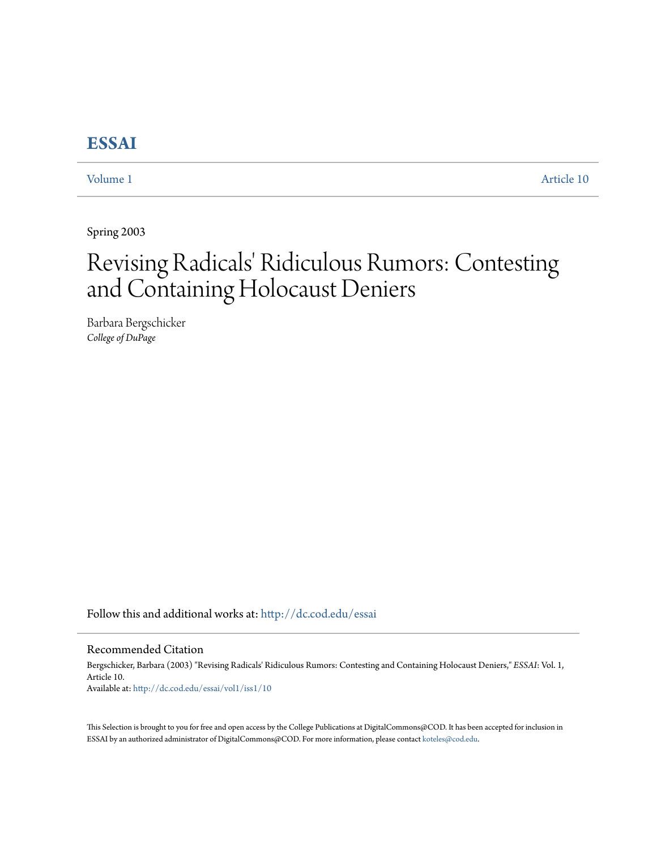# **[ESSAI](http://dc.cod.edu/essai?utm_source=dc.cod.edu%2Fessai%2Fvol1%2Fiss1%2F10&utm_medium=PDF&utm_campaign=PDFCoverPages)**

[Volume 1](http://dc.cod.edu/essai/vol1?utm_source=dc.cod.edu%2Fessai%2Fvol1%2Fiss1%2F10&utm_medium=PDF&utm_campaign=PDFCoverPages) [Article 10](http://dc.cod.edu/essai/vol1/iss1/10?utm_source=dc.cod.edu%2Fessai%2Fvol1%2Fiss1%2F10&utm_medium=PDF&utm_campaign=PDFCoverPages)

Spring 2003

# Revising Radicals' Ridiculous Rumors: Contesting and Containing Holocaust Deniers

Barbara Bergschicker *College of DuPage*

Follow this and additional works at: [http://dc.cod.edu/essai](http://dc.cod.edu/essai?utm_source=dc.cod.edu%2Fessai%2Fvol1%2Fiss1%2F10&utm_medium=PDF&utm_campaign=PDFCoverPages)

## Recommended Citation

Bergschicker, Barbara (2003) "Revising Radicals' Ridiculous Rumors: Contesting and Containing Holocaust Deniers," *ESSAI*: Vol. 1, Article 10. Available at: [http://dc.cod.edu/essai/vol1/iss1/10](http://dc.cod.edu/essai/vol1/iss1/10?utm_source=dc.cod.edu%2Fessai%2Fvol1%2Fiss1%2F10&utm_medium=PDF&utm_campaign=PDFCoverPages)

This Selection is brought to you for free and open access by the College Publications at DigitalCommons@COD. It has been accepted for inclusion in ESSAI by an authorized administrator of DigitalCommons@COD. For more information, please contact [koteles@cod.edu](mailto:koteles@cod.edu).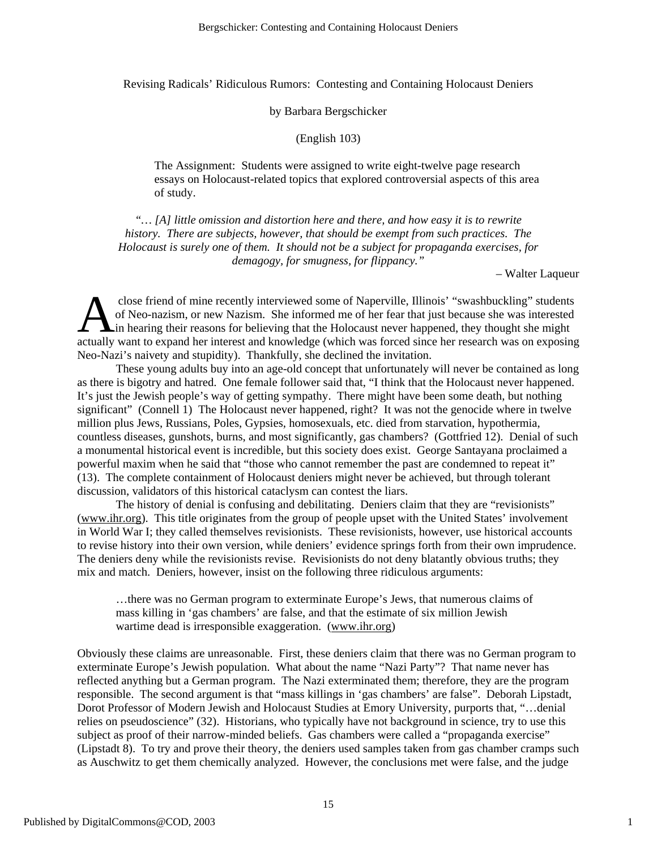Revising Radicals' Ridiculous Rumors: Contesting and Containing Holocaust Deniers

#### by Barbara Bergschicker

(English 103)

The Assignment: Students were assigned to write eight-twelve page research essays on Holocaust-related topics that explored controversial aspects of this area of study.

*"… [A] little omission and distortion here and there, and how easy it is to rewrite history. There are subjects, however, that should be exempt from such practices. The Holocaust is surely one of them. It should not be a subject for propaganda exercises, for demagogy, for smugness, for flippancy."* 

– Walter Laqueur

close friend of mine recently interviewed some of Naperville, Illinois' "swashbuckling" students of Neo-nazism, or new Nazism. She informed me of her fear that just because she was interested in hearing their reasons for believing that the Holocaust never happened, they thought she might close friend of mine recently interviewed some of Naperville, Illinois' "swashbuckling" students of Neo-nazism, or new Nazism. She informed me of her fear that just because she was interested in hearing their reasons for b Neo-Nazi's naivety and stupidity). Thankfully, she declined the invitation.

These young adults buy into an age-old concept that unfortunately will never be contained as long as there is bigotry and hatred. One female follower said that, "I think that the Holocaust never happened. It's just the Jewish people's way of getting sympathy. There might have been some death, but nothing significant" (Connell 1) The Holocaust never happened, right? It was not the genocide where in twelve million plus Jews, Russians, Poles, Gypsies, homosexuals, etc. died from starvation, hypothermia, countless diseases, gunshots, burns, and most significantly, gas chambers? (Gottfried 12). Denial of such a monumental historical event is incredible, but this society does exist. George Santayana proclaimed a powerful maxim when he said that "those who cannot remember the past are condemned to repeat it" (13). The complete containment of Holocaust deniers might never be achieved, but through tolerant discussion, validators of this historical cataclysm can contest the liars.

The history of denial is confusing and debilitating. Deniers claim that they are "revisionists" (www.ihr.org). This title originates from the group of people upset with the United States' involvement in World War I; they called themselves revisionists. These revisionists, however, use historical accounts to revise history into their own version, while deniers' evidence springs forth from their own imprudence. The deniers deny while the revisionists revise. Revisionists do not deny blatantly obvious truths; they mix and match. Deniers, however, insist on the following three ridiculous arguments:

…there was no German program to exterminate Europe's Jews, that numerous claims of mass killing in 'gas chambers' are false, and that the estimate of six million Jewish wartime dead is irresponsible exaggeration. (www.ihr.org)

Obviously these claims are unreasonable. First, these deniers claim that there was no German program to exterminate Europe's Jewish population. What about the name "Nazi Party"? That name never has reflected anything but a German program. The Nazi exterminated them; therefore, they are the program responsible. The second argument is that "mass killings in 'gas chambers' are false". Deborah Lipstadt, Dorot Professor of Modern Jewish and Holocaust Studies at Emory University, purports that, "…denial relies on pseudoscience" (32). Historians, who typically have not background in science, try to use this subject as proof of their narrow-minded beliefs. Gas chambers were called a "propaganda exercise" (Lipstadt 8). To try and prove their theory, the deniers used samples taken from gas chamber cramps such as Auschwitz to get them chemically analyzed. However, the conclusions met were false, and the judge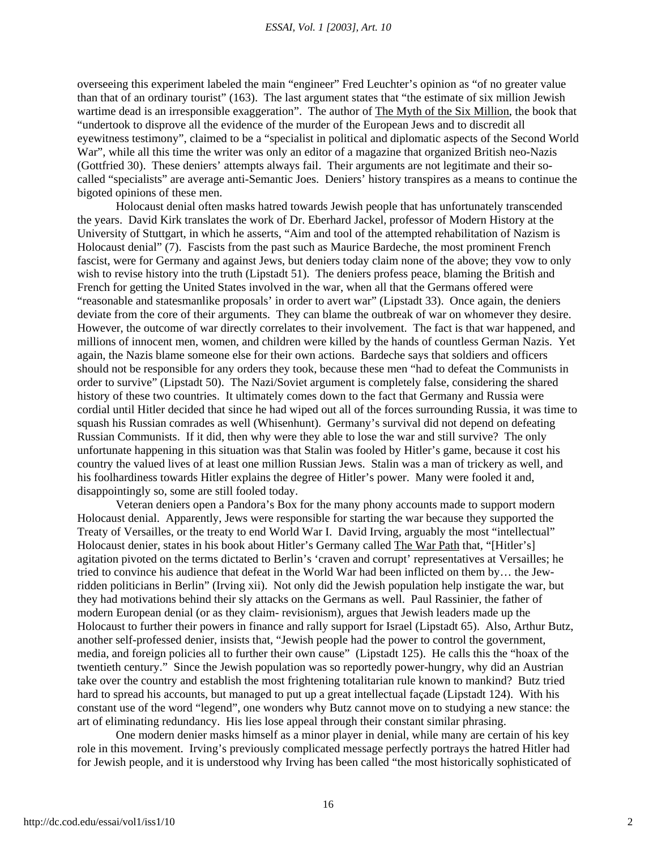overseeing this experiment labeled the main "engineer" Fred Leuchter's opinion as "of no greater value than that of an ordinary tourist" (163). The last argument states that "the estimate of six million Jewish wartime dead is an irresponsible exaggeration". The author of The Myth of the Six Million, the book that "undertook to disprove all the evidence of the murder of the European Jews and to discredit all eyewitness testimony", claimed to be a "specialist in political and diplomatic aspects of the Second World War", while all this time the writer was only an editor of a magazine that organized British neo-Nazis (Gottfried 30). These deniers' attempts always fail. Their arguments are not legitimate and their socalled "specialists" are average anti-Semantic Joes. Deniers' history transpires as a means to continue the bigoted opinions of these men.

Holocaust denial often masks hatred towards Jewish people that has unfortunately transcended the years. David Kirk translates the work of Dr. Eberhard Jackel, professor of Modern History at the University of Stuttgart, in which he asserts, "Aim and tool of the attempted rehabilitation of Nazism is Holocaust denial" (7). Fascists from the past such as Maurice Bardeche, the most prominent French fascist, were for Germany and against Jews, but deniers today claim none of the above; they vow to only wish to revise history into the truth (Lipstadt 51). The deniers profess peace, blaming the British and French for getting the United States involved in the war, when all that the Germans offered were "reasonable and statesmanlike proposals' in order to avert war" (Lipstadt 33). Once again, the deniers deviate from the core of their arguments. They can blame the outbreak of war on whomever they desire. However, the outcome of war directly correlates to their involvement. The fact is that war happened, and millions of innocent men, women, and children were killed by the hands of countless German Nazis. Yet again, the Nazis blame someone else for their own actions. Bardeche says that soldiers and officers should not be responsible for any orders they took, because these men "had to defeat the Communists in order to survive" (Lipstadt 50). The Nazi/Soviet argument is completely false, considering the shared history of these two countries. It ultimately comes down to the fact that Germany and Russia were cordial until Hitler decided that since he had wiped out all of the forces surrounding Russia, it was time to squash his Russian comrades as well (Whisenhunt). Germany's survival did not depend on defeating Russian Communists. If it did, then why were they able to lose the war and still survive? The only unfortunate happening in this situation was that Stalin was fooled by Hitler's game, because it cost his country the valued lives of at least one million Russian Jews. Stalin was a man of trickery as well, and his foolhardiness towards Hitler explains the degree of Hitler's power. Many were fooled it and, disappointingly so, some are still fooled today.

Veteran deniers open a Pandora's Box for the many phony accounts made to support modern Holocaust denial. Apparently, Jews were responsible for starting the war because they supported the Treaty of Versailles, or the treaty to end World War I. David Irving, arguably the most "intellectual" Holocaust denier, states in his book about Hitler's Germany called The War Path that, "[Hitler's] agitation pivoted on the terms dictated to Berlin's 'craven and corrupt' representatives at Versailles; he tried to convince his audience that defeat in the World War had been inflicted on them by… the Jewridden politicians in Berlin" (Irving xii). Not only did the Jewish population help instigate the war, but they had motivations behind their sly attacks on the Germans as well. Paul Rassinier, the father of modern European denial (or as they claim- revisionism), argues that Jewish leaders made up the Holocaust to further their powers in finance and rally support for Israel (Lipstadt 65). Also, Arthur Butz, another self-professed denier, insists that, "Jewish people had the power to control the government, media, and foreign policies all to further their own cause" (Lipstadt 125). He calls this the "hoax of the twentieth century." Since the Jewish population was so reportedly power-hungry, why did an Austrian take over the country and establish the most frightening totalitarian rule known to mankind? Butz tried hard to spread his accounts, but managed to put up a great intellectual façade (Lipstadt 124). With his constant use of the word "legend", one wonders why Butz cannot move on to studying a new stance: the art of eliminating redundancy. His lies lose appeal through their constant similar phrasing.

One modern denier masks himself as a minor player in denial, while many are certain of his key role in this movement. Irving's previously complicated message perfectly portrays the hatred Hitler had for Jewish people, and it is understood why Irving has been called "the most historically sophisticated of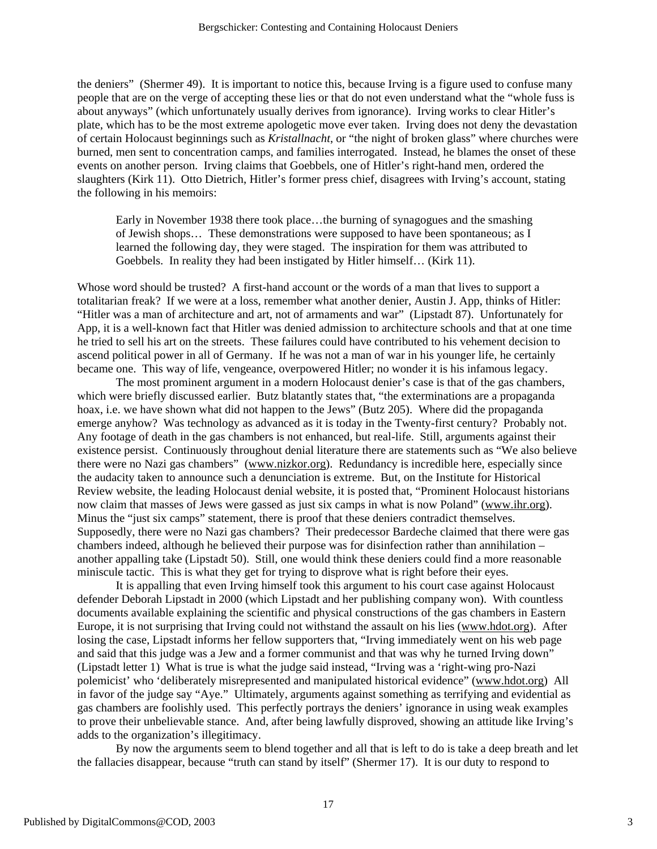the deniers" (Shermer 49). It is important to notice this, because Irving is a figure used to confuse many people that are on the verge of accepting these lies or that do not even understand what the "whole fuss is about anyways" (which unfortunately usually derives from ignorance). Irving works to clear Hitler's plate, which has to be the most extreme apologetic move ever taken. Irving does not deny the devastation of certain Holocaust beginnings such as *Kristallnacht*, or "the night of broken glass" where churches were burned, men sent to concentration camps, and families interrogated. Instead, he blames the onset of these events on another person. Irving claims that Goebbels, one of Hitler's right-hand men, ordered the slaughters (Kirk 11). Otto Dietrich, Hitler's former press chief, disagrees with Irving's account, stating the following in his memoirs:

Early in November 1938 there took place…the burning of synagogues and the smashing of Jewish shops… These demonstrations were supposed to have been spontaneous; as I learned the following day, they were staged. The inspiration for them was attributed to Goebbels. In reality they had been instigated by Hitler himself… (Kirk 11).

Whose word should be trusted? A first-hand account or the words of a man that lives to support a totalitarian freak? If we were at a loss, remember what another denier, Austin J. App, thinks of Hitler: "Hitler was a man of architecture and art, not of armaments and war" (Lipstadt 87). Unfortunately for App, it is a well-known fact that Hitler was denied admission to architecture schools and that at one time he tried to sell his art on the streets. These failures could have contributed to his vehement decision to ascend political power in all of Germany. If he was not a man of war in his younger life, he certainly became one. This way of life, vengeance, overpowered Hitler; no wonder it is his infamous legacy.

The most prominent argument in a modern Holocaust denier's case is that of the gas chambers, which were briefly discussed earlier. Butz blatantly states that, "the exterminations are a propaganda" hoax, i.e. we have shown what did not happen to the Jews" (Butz 205). Where did the propaganda emerge anyhow? Was technology as advanced as it is today in the Twenty-first century? Probably not. Any footage of death in the gas chambers is not enhanced, but real-life. Still, arguments against their existence persist. Continuously throughout denial literature there are statements such as "We also believe there were no Nazi gas chambers" (www.nizkor.org). Redundancy is incredible here, especially since the audacity taken to announce such a denunciation is extreme. But, on the Institute for Historical Review website, the leading Holocaust denial website, it is posted that, "Prominent Holocaust historians now claim that masses of Jews were gassed as just six camps in what is now Poland" (www.ihr.org). Minus the "just six camps" statement, there is proof that these deniers contradict themselves. Supposedly, there were no Nazi gas chambers? Their predecessor Bardeche claimed that there were gas chambers indeed, although he believed their purpose was for disinfection rather than annihilation – another appalling take (Lipstadt 50). Still, one would think these deniers could find a more reasonable miniscule tactic. This is what they get for trying to disprove what is right before their eyes.

It is appalling that even Irving himself took this argument to his court case against Holocaust defender Deborah Lipstadt in 2000 (which Lipstadt and her publishing company won). With countless documents available explaining the scientific and physical constructions of the gas chambers in Eastern Europe, it is not surprising that Irving could not withstand the assault on his lies (www.hdot.org). After losing the case, Lipstadt informs her fellow supporters that, "Irving immediately went on his web page and said that this judge was a Jew and a former communist and that was why he turned Irving down" (Lipstadt letter 1) What is true is what the judge said instead, "Irving was a 'right-wing pro-Nazi polemicist' who 'deliberately misrepresented and manipulated historical evidence" (www.hdot.org) All in favor of the judge say "Aye." Ultimately, arguments against something as terrifying and evidential as gas chambers are foolishly used. This perfectly portrays the deniers' ignorance in using weak examples to prove their unbelievable stance. And, after being lawfully disproved, showing an attitude like Irving's adds to the organization's illegitimacy.

By now the arguments seem to blend together and all that is left to do is take a deep breath and let the fallacies disappear, because "truth can stand by itself" (Shermer 17). It is our duty to respond to